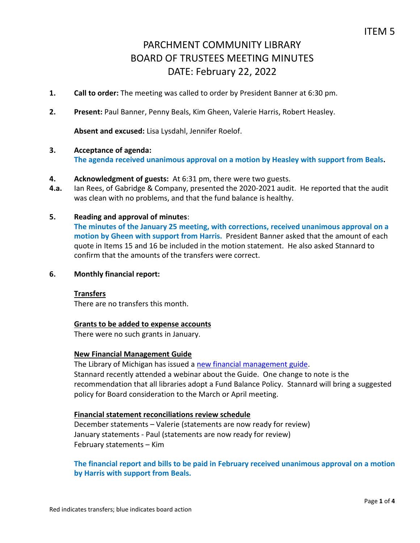- **1. Call to order:** The meeting was called to order by President Banner at 6:30 pm.
- **2. Present:** Paul Banner, Penny Beals, Kim Gheen, Valerie Harris, Robert Heasley.

**Absent and excused:** Lisa Lysdahl, Jennifer Roelof.

# **3. Acceptance of agenda:**

**The agenda received unanimous approval on a motion by Heasley with support from Beals.**

## **4. Acknowledgment of guests:** At 6:31 pm, there were two guests.

**4.a.** Ian Rees, of Gabridge & Company, presented the 2020-2021 audit. He reported that the audit was clean with no problems, and that the fund balance is healthy.

## **5. Reading and approval of minutes**:

**The minutes of the January 25 meeting, with corrections, received unanimous approval on a motion by Gheen with support from Harris.** President Banner asked that the amount of each quote in Items 15 and 16 be included in the motion statement. He also asked Stannard to confirm that the amounts of the transfers were correct.

## **6. Monthly financial report:**

## **Transfers**

There are no transfers this month.

## **Grants to be added to expense accounts**

There were no such grants in January.

## **New Financial Management Guide**

The Library of Michigan has issued a [new financial management guide.](https://www.michigan.gov/documents/libraryofmichigan/LM_SLS_2019_Financial_Management_Guide_FINAL_11-6-19_670795_7.pdf) Stannard recently attended a webinar about the Guide. One change to note is the recommendation that all libraries adopt a Fund Balance Policy. Stannard will bring a suggested policy for Board consideration to the March or April meeting.

## **Financial statement reconciliations review schedule**

December statements – Valerie (statements are now ready for review) January statements - Paul (statements are now ready for review) February statements – Kim

# **The financial report and bills to be paid in February received unanimous approval on a motion by Harris with support from Beals.**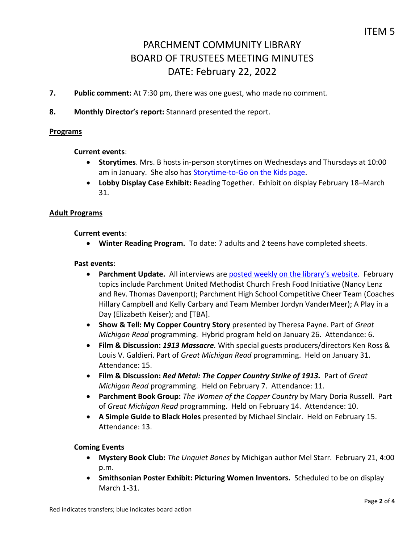- **7. Public comment:** At 7:30 pm, there was one guest, who made no comment.
- **8. Monthly Director's report:** Stannard presented the report.

## **Programs**

## **Current events**:

- **Storytimes**. Mrs. B hosts in-person storytimes on Wednesdays and Thursdays at 10:00 am in January. She also has [Storytime-to-Go on the Kids page.](https://www.parchmentlibrary.org/storytimes-programs)
- **Lobby Display Case Exhibit:** Reading Together. Exhibit on display February 18–March 31.

## **Adult Programs**

## **Current events**:

**Winter Reading Program.** To date: 7 adults and 2 teens have completed sheets.

## **Past events**:

- **Parchment Update.** All interviews are [posted weekly on the library's website](https://www.parchmentlibrary.org/parchment-update). February topics include Parchment United Methodist Church Fresh Food Initiative (Nancy Lenz and Rev. Thomas Davenport); Parchment High School Competitive Cheer Team (Coaches Hillary Campbell and Kelly Carbary and Team Member Jordyn VanderMeer); A Play in a Day (Elizabeth Keiser); and [TBA].
- **Show & Tell: My Copper Country Story** presented by Theresa Payne. Part of *Great Michigan Read* programming. Hybrid program held on January 26. Attendance: 6.
- **Film & Discussion:** *1913 Massacre.* With special guests producers/directors Ken Ross & Louis V. Galdieri. Part of *Great Michigan Read* programming. Held on January 31. Attendance: 15.
- **Film & Discussion:** *Red Metal: The Copper Country Strike of 1913.* Part of *Great Michigan Read* programming. Held on February 7. Attendance: 11.
- **Parchment Book Group:** *The Women of the Copper Country* by Mary Doria Russell. Part of *Great Michigan Read* programming. Held on February 14. Attendance: 10.
- **A Simple Guide to Black Holes** presented by Michael Sinclair. Held on February 15. Attendance: 13.

# **Coming Events**

- **Mystery Book Club:** *The Unquiet Bones* by Michigan author Mel Starr. February 21, 4:00 p.m.
- **Smithsonian Poster Exhibit: Picturing Women Inventors.** Scheduled to be on display March 1-31.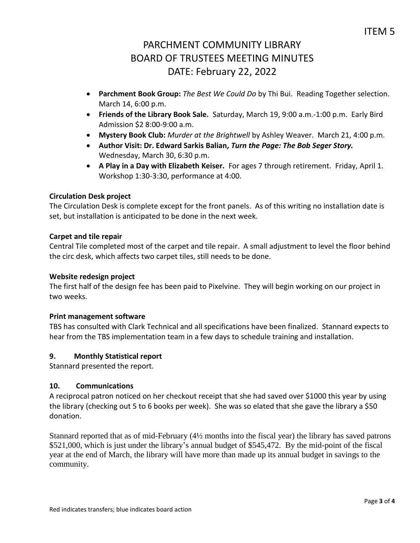- **Parchment Book Group:** *The Best We Could Do* by Thi Bui. Reading Together selection. March 14, 6:00 p.m.
- **Friends of the Library Book Sale.** Saturday, March 19, 9:00 a.m.-1:00 p.m. Early Bird Admission \$2 8:00-9:00 a.m.
- **Mystery Book Club:** *Murder at the Brightwell* by Ashley Weaver. March 21, 4:00 p.m.
- **Author Visit: Dr. Edward Sarkis Balian,** *Turn the Page: The Bob Seger Story.*  Wednesday, March 30, 6:30 p.m.
- **A Play in a Day with Elizabeth Keiser.** For ages 7 through retirement.Friday, April 1. Workshop 1:30-3:30, performance at 4:00.

# **Circulation Desk project**

The Circulation Desk is complete except for the front panels. As of this writing no installation date is set, but installation is anticipated to be done in the next week.

# **Carpet and tile repair**

Central Tile completed most of the carpet and tile repair. A small adjustment to level the floor behind the circ desk, which affects two carpet tiles, still needs to be done.

# **Website redesign project**

The first half of the design fee has been paid to Pixelvine. They will begin working on our project in two weeks.

# **Print management software**

TBS has consulted with Clark Technical and all specifications have been finalized. Stannard expects to hear from the TBS implementation team in a few days to schedule training and installation.

# **9. Monthly Statistical report**

Stannard presented the report.

# **10. Communications**

A reciprocal patron noticed on her checkout receipt that she had saved over \$1000 this year by using the library (checking out 5 to 6 books per week). She was so elated that she gave the library a \$50 donation.

Stannard reported that as of mid-February (4½ months into the fiscal year) the library has saved patrons \$521,000, which is just under the library's annual budget of \$545,472. By the mid-point of the fiscal year at the end of March, the library will have more than made up its annual budget in savings to the community.